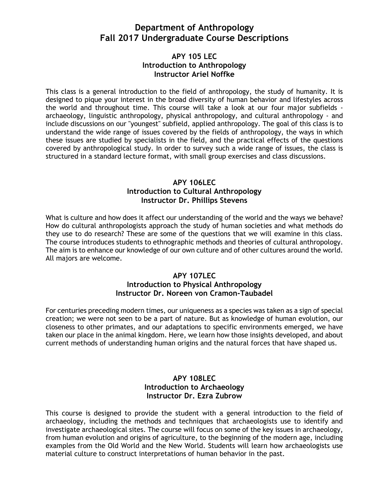# **Department of Anthropology Fall 2017 Undergraduate Course Descriptions**

## **APY 105 LEC Introduction to Anthropology Instructor Ariel Noffke**

This class is a general introduction to the field of anthropology, the study of humanity. It is designed to pique your interest in the broad diversity of human behavior and lifestyles across the world and throughout time. This course will take a look at our four major subfields archaeology, linguistic anthropology, physical anthropology, and cultural anthropology - and include discussions on our "youngest" subfield, applied anthropology. The goal of this class is to understand the wide range of issues covered by the fields of anthropology, the ways in which these issues are studied by specialists in the field, and the practical effects of the questions covered by anthropological study. In order to survey such a wide range of issues, the class is structured in a standard lecture format, with small group exercises and class discussions.

## **APY 106LEC Introduction to Cultural Anthropology Instructor Dr. Phillips Stevens**

What is culture and how does it affect our understanding of the world and the ways we behave? How do cultural anthropologists approach the study of human societies and what methods do they use to do research? These are some of the questions that we will examine in this class. The course introduces students to ethnographic methods and theories of cultural anthropology. The aim is to enhance our knowledge of our own culture and of other cultures around the world. All majors are welcome.

## **APY 107LEC Introduction to Physical Anthropology Instructor Dr. Noreen von Cramon-Taubadel**

For centuries preceding modern times, our uniqueness as a species was taken as a sign of special creation; we were not seen to be a part of nature. But as knowledge of human evolution, our closeness to other primates, and our adaptations to specific environments emerged, we have taken our place in the animal kingdom. Here, we learn how those insights developed, and about current methods of understanding human origins and the natural forces that have shaped us.

## **APY 108LEC Introduction to Archaeology Instructor Dr. Ezra Zubrow**

This course is designed to provide the student with a general introduction to the field of archaeology, including the methods and techniques that archaeologists use to identify and investigate archaeological sites. The course will focus on some of the key issues in archaeology, from human evolution and origins of agriculture, to the beginning of the modern age, including examples from the Old World and the New World. Students will learn how archaeologists use material culture to construct interpretations of human behavior in the past.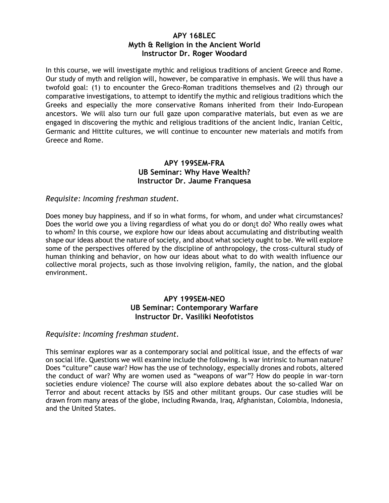## **APY 168LEC Myth & Religion in the Ancient World Instructor Dr. Roger Woodard**

In this course, we will investigate mythic and religious traditions of ancient Greece and Rome. Our study of myth and religion will, however, be comparative in emphasis. We will thus have a twofold goal: (1) to encounter the Greco-Roman traditions themselves and (2) through our comparative investigations, to attempt to identify the mythic and religious traditions which the Greeks and especially the more conservative Romans inherited from their Indo-European ancestors. We will also turn our full gaze upon comparative materials, but even as we are engaged in discovering the mythic and religious traditions of the ancient Indic, Iranian Celtic, Germanic and Hittite cultures, we will continue to encounter new materials and motifs from Greece and Rome.

### **APY 199SEM-FRA UB Seminar: Why Have Wealth? Instructor Dr. Jaume Franquesa**

### *Requisite: Incoming freshman student.*

Does money buy happiness, and if so in what forms, for whom, and under what circumstances? Does the world owe you a living regardless of what you do or don¿t do? Who really owes what to whom? In this course, we explore how our ideas about accumulating and distributing wealth shape our ideas about the nature of society, and about what society ought to be. We will explore some of the perspectives offered by the discipline of anthropology, the cross-cultural study of human thinking and behavior, on how our ideas about what to do with wealth influence our collective moral projects, such as those involving religion, family, the nation, and the global environment.

### **APY 199SEM-NEO UB Seminar: Contemporary Warfare Instructor Dr. Vasiliki Neofotistos**

### *Requisite: Incoming freshman student.*

This seminar explores war as a contemporary social and political issue, and the effects of war on social life. Questions we will examine include the following. Is war intrinsic to human nature? Does "culture" cause war? How has the use of technology, especially drones and robots, altered the conduct of war? Why are women used as "weapons of war"? How do people in war-torn societies endure violence? The course will also explore debates about the so-called War on Terror and about recent attacks by ISIS and other militant groups. Our case studies will be drawn from many areas of the globe, including Rwanda, Iraq, Afghanistan, Colombia, Indonesia, and the United States.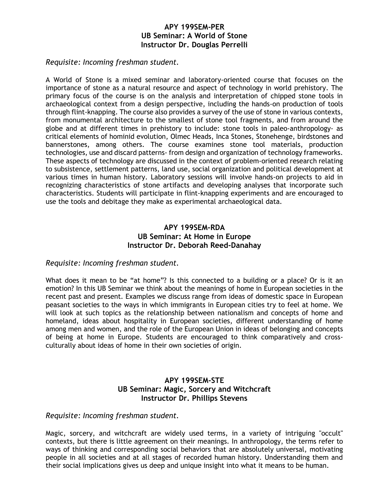### **APY 199SEM-PER UB Seminar: A World of Stone Instructor Dr. Douglas Perrelli**

*Requisite: Incoming freshman student.*

A World of Stone is a mixed seminar and laboratory-oriented course that focuses on the importance of stone as a natural resource and aspect of technology in world prehistory. The primary focus of the course is on the analysis and interpretation of chipped stone tools in archaeological context from a design perspective, including the hands-on production of tools through flint-knapping. The course also provides a survey of the use of stone in various contexts, from monumental architecture to the smallest of stone tool fragments, and from around the globe and at different times in prehistory to include: stone tools in paleo-anthropology- as critical elements of hominid evolution, Olmec Heads, Inca Stones, Stonehenge, birdstones and bannerstones, among others. The course examines stone tool materials, production technologies, use and discard patterns- from design and organization of technology frameworks. These aspects of technology are discussed in the context of problem-oriented research relating to subsistence, settlement patterns, land use, social organization and political development at various times in human history. Laboratory sessions will involve hands-on projects to aid in recognizing characteristics of stone artifacts and developing analyses that incorporate such characteristics. Students will participate in flint-knapping experiments and are encouraged to use the tools and debitage they make as experimental archaeological data.

### **APY 199SEM-RDA UB Seminar: At Home in Europe Instructor Dr. Deborah Reed-Danahay**

### *Requisite: Incoming freshman student.*

What does it mean to be "at home"? Is this connected to a building or a place? Or is it an emotion? In this UB Seminar we think about the meanings of home in European societies in the recent past and present. Examples we discuss range from ideas of domestic space in European peasant societies to the ways in which immigrants in European cities try to feel at home. We will look at such topics as the relationship between nationalism and concepts of home and homeland, ideas about hospitality in European societies, different understanding of home among men and women, and the role of the European Union in ideas of belonging and concepts of being at home in Europe. Students are encouraged to think comparatively and crossculturally about ideas of home in their own societies of origin.

### **APY 199SEM-STE UB Seminar: Magic, Sorcery and Witchcraft Instructor Dr. Phillips Stevens**

#### *Requisite: Incoming freshman student.*

Magic, sorcery, and witchcraft are widely used terms, in a variety of intriguing "occult" contexts, but there is little agreement on their meanings. In anthropology, the terms refer to ways of thinking and corresponding social behaviors that are absolutely universal, motivating people in all societies and at all stages of recorded human history. Understanding them and their social implications gives us deep and unique insight into what it means to be human.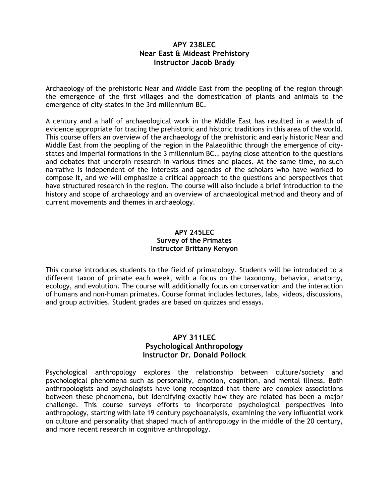## **APY 238LEC Near East & Mideast Prehistory Instructor Jacob Brady**

Archaeology of the prehistoric Near and Middle East from the peopling of the region through the emergence of the first villages and the domestication of plants and animals to the emergence of city-states in the 3rd millennium BC.

A century and a half of archaeological work in the Middle East has resulted in a wealth of evidence appropriate for tracing the prehistoric and historic traditions in this area of the world. This course offers an overview of the archaeology of the prehistoric and early historic Near and Middle East from the peopling of the region in the Palaeolithic through the emergence of citystates and imperial formations in the 3 millennium BC., paying close attention to the questions and debates that underpin research in various times and places. At the same time, no such narrative is independent of the interests and agendas of the scholars who have worked to compose it, and we will emphasize a critical approach to the questions and perspectives that have structured research in the region. The course will also include a brief introduction to the history and scope of archaeology and an overview of archaeological method and theory and of current movements and themes in archaeology.

### **APY 245LEC Survey of the Primates Instructor Brittany Kenyon**

This course introduces students to the field of primatology. Students will be introduced to a different taxon of primate each week, with a focus on the taxonomy, behavior, anatomy, ecology, and evolution. The course will additionally focus on conservation and the interaction of humans and non-human primates. Course format includes lectures, labs, videos, discussions, and group activities. Student grades are based on quizzes and essays.

## **APY 311LEC Psychological Anthropology Instructor Dr. Donald Pollock**

Psychological anthropology explores the relationship between culture/society and psychological phenomena such as personality, emotion, cognition, and mental illness. Both anthropologists and psychologists have long recognized that there are complex associations between these phenomena, but identifying exactly how they are related has been a major challenge. This course surveys efforts to incorporate psychological perspectives into anthropology, starting with late 19 century psychoanalysis, examining the very influential work on culture and personality that shaped much of anthropology in the middle of the 20 century, and more recent research in cognitive anthropology.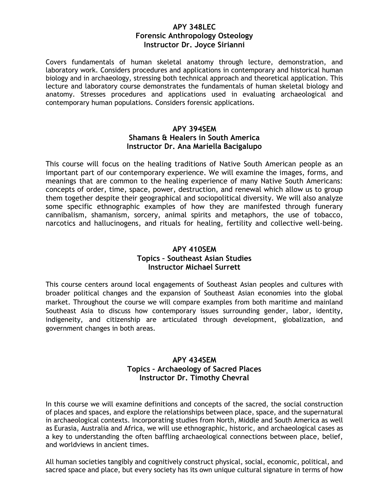### **APY 348LEC Forensic Anthropology Osteology Instructor Dr. Joyce Sirianni**

Covers fundamentals of human skeletal anatomy through lecture, demonstration, and laboratory work. Considers procedures and applications in contemporary and historical human biology and in archaeology, stressing both technical approach and theoretical application. This lecture and laboratory course demonstrates the fundamentals of human skeletal biology and anatomy. Stresses procedures and applications used in evaluating archaeological and contemporary human populations. Considers forensic applications.

## **APY 394SEM Shamans & Healers in South America Instructor Dr. Ana Mariella Bacigalupo**

This course will focus on the healing traditions of Native South American people as an important part of our contemporary experience. We will examine the images, forms, and meanings that are common to the healing experience of many Native South Americans: concepts of order, time, space, power, destruction, and renewal which allow us to group them together despite their geographical and sociopolitical diversity. We will also analyze some specific ethnographic examples of how they are manifested through funerary cannibalism, shamanism, sorcery, animal spirits and metaphors, the use of tobacco, narcotics and hallucinogens, and rituals for healing, fertility and collective well-being.

## **APY 410SEM Topics – Southeast Asian Studies Instructor Michael Surrett**

This course centers around local engagements of Southeast Asian peoples and cultures with broader political changes and the expansion of Southeast Asian economies into the global market. Throughout the course we will compare examples from both maritime and mainland Southeast Asia to discuss how contemporary issues surrounding gender, labor, identity, indigeneity, and citizenship are articulated through development, globalization, and government changes in both areas.

## **APY 434SEM Topics – Archaeology of Sacred Places Instructor Dr. Timothy Chevral**

In this course we will examine definitions and concepts of the sacred, the social construction of places and spaces, and explore the relationships between place, space, and the supernatural in archaeological contexts. Incorporating studies from North, Middle and South America as well as Eurasia, Australia and Africa, we will use ethnographic, historic, and archaeological cases as a key to understanding the often baffling archaeological connections between place, belief, and worldviews in ancient times.

All human societies tangibly and cognitively construct physical, social, economic, political, and sacred space and place, but every society has its own unique cultural signature in terms of how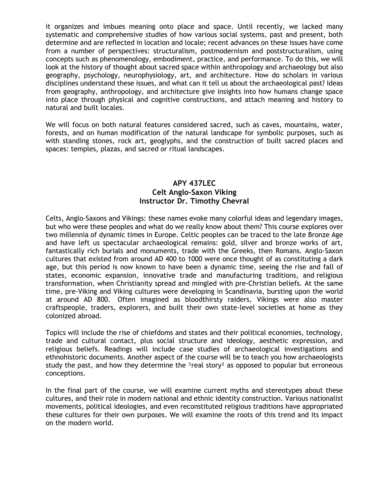it organizes and imbues meaning onto place and space. Until recently, we lacked many systematic and comprehensive studies of how various social systems, past and present, both determine and are reflected in location and locale; recent advances on these issues have come from a number of perspectives: structuralism, postmodernism and poststructuralism, using concepts such as phenomenology, embodiment, practice, and performance. To do this, we will look at the history of thought about sacred space within anthropology and archaeology but also geography, psychology, neurophysiology, art, and architecture. How do scholars in various disciplines understand these issues, and what can it tell us about the archaeological past? Ideas from geography, anthropology, and architecture give insights into how humans change space into place through physical and cognitive constructions, and attach meaning and history to natural and built locales.

We will focus on both natural features considered sacred, such as caves, mountains, water, forests, and on human modification of the natural landscape for symbolic purposes, such as with standing stones, rock art, geoglyphs, and the construction of built sacred places and spaces: temples, plazas, and sacred or ritual landscapes.

### **APY 437LEC Celt Anglo-Saxon Viking Instructor Dr. Timothy Chevral**

Celts, Anglo-Saxons and Vikings: these names evoke many colorful ideas and legendary images, but who were these peoples and what do we really know about them? This course explores over two millennia of dynamic times in Europe. Celtic peoples can be traced to the late Bronze Age and have left us spectacular archaeological remains: gold, silver and bronze works of art, fantastically rich burials and monuments, trade with the Greeks, then Romans. Anglo-Saxon cultures that existed from around AD 400 to 1000 were once thought of as constituting a dark age, but this period is now known to have been a dynamic time, seeing the rise and fall of states, economic expansion, innovative trade and manufacturing traditions, and religious transformation, when Christianity spread and mingled with pre-Christian beliefs. At the same time, pre-Viking and Viking cultures were developing in Scandinavia, bursting upon the world at around AD 800. Often imagined as bloodthirsty raiders, Vikings were also master craftspeople, traders, explorers, and built their own state-level societies at home as they colonized abroad.

Topics will include the rise of chiefdoms and states and their political economies, technology, trade and cultural contact, plus social structure and ideology, aesthetic expression, and religious beliefs. Readings will include case studies of archaeological investigations and ethnohistoric documents. Another aspect of the course will be to teach you how archaeologists study the past, and how they determine the  $3$ real story<sup>2</sup> as opposed to popular but erroneous conceptions.

In the final part of the course, we will examine current myths and stereotypes about these cultures, and their role in modern national and ethnic identity construction. Various nationalist movements, political ideologies, and even reconstituted religious traditions have appropriated these cultures for their own purposes. We will examine the roots of this trend and its impact on the modern world.